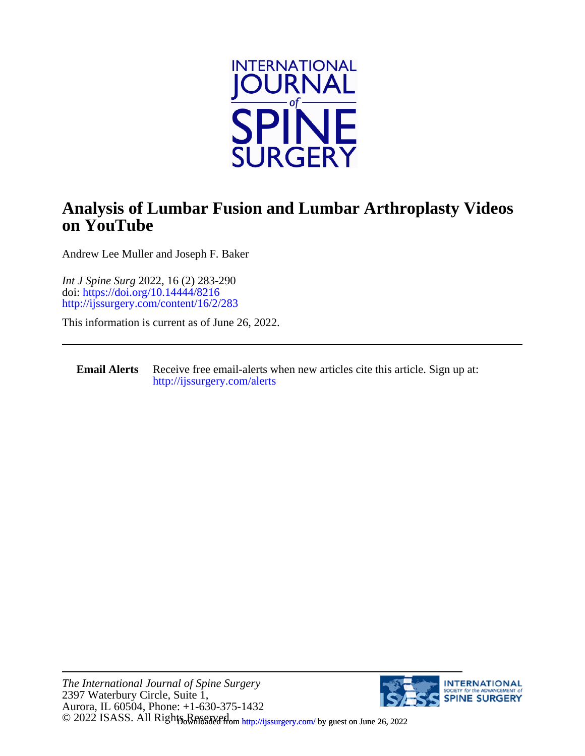

## **on YouTube Analysis of Lumbar Fusion and Lumbar Arthroplasty Videos**

Andrew Lee Muller and Joseph F. Baker

<http://ijssurgery.com/content/16/2/283> doi:<https://doi.org/10.14444/8216> *Int J Spine Surg* 2022, 16 (2) 283-290

This information is current as of June 26, 2022.

**Email Alerts** [http://ijssurgery.com/alerts](http://jpm.iijournals.com/alerts) Receive free email-alerts when new articles cite this article. Sign up at:

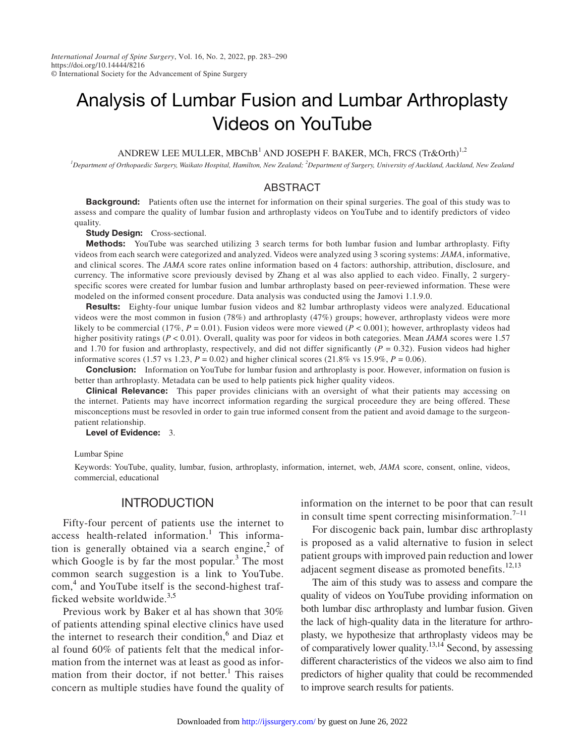# Analysis of Lumbar Fusion and Lumbar Arthroplasty Videos on YouTube

ANDREW LEE MULLER, MBChB<sup>1</sup> AND JOSEPH F. BAKER, MCh, FRCS  $(Tr\&Oth)^{1,2}$ 

*1 Department of Orthopaedic Surgery, Waikato Hospital, Hamilton, New Zealand; 2 Department of Surgery, University of Auckland, Auckland, New Zealand*

#### ABSTRACT

**Background:** Patients often use the internet for information on their spinal surgeries. The goal of this study was to assess and compare the quality of lumbar fusion and arthroplasty videos on YouTube and to identify predictors of video quality.

**Study Design:** Cross-sectional.

**Methods:** YouTube was searched utilizing 3 search terms for both lumbar fusion and lumbar arthroplasty. Fifty videos from each search were categorized and analyzed. Videos were analyzed using 3 scoring systems: *JAMA*, informative, and clinical scores. The *JAMA* score rates online information based on 4 factors: authorship, attribution, disclosure, and currency. The informative score previously devised by Zhang et al was also applied to each video. Finally, 2 surgeryspecific scores were created for lumbar fusion and lumbar arthroplasty based on peer-reviewed information. These were modeled on the informed consent procedure. Data analysis was conducted using the Jamovi 1.1.9.0.

Results: Eighty-four unique lumbar fusion videos and 82 lumbar arthroplasty videos were analyzed. Educational videos were the most common in fusion (78%) and arthroplasty (47%) groups; however, arthroplasty videos were more likely to be commercial (17%,  $P = 0.01$ ). Fusion videos were more viewed ( $P < 0.001$ ); however, arthroplasty videos had higher positivity ratings (*P* < 0.01). Overall, quality was poor for videos in both categories. Mean *JAMA* scores were 1.57 and 1.70 for fusion and arthroplasty, respectively, and did not differ significantly  $(P = 0.32)$ . Fusion videos had higher informative scores (1.57 vs 1.23,  $P = 0.02$ ) and higher clinical scores (21.8% vs 15.9%,  $P = 0.06$ ).

**Conclusion:** Information on YouTube for lumbar fusion and arthroplasty is poor. However, information on fusion is better than arthroplasty. Metadata can be used to help patients pick higher quality videos.

Clinical Relevance: This paper provides clinicians with an oversight of what their patients may accessing on the internet. Patients may have incorrect information regarding the surgical proceedure they are being offered. These misconceptions must be resovled in order to gain true informed consent from the patient and avoid damage to the surgeonpatient relationship.

Level of Evidence: 3.

Lumbar Spine

Keywords: YouTube, quality, lumbar, fusion, arthroplasty, information, internet, web, *JAMA* score, consent, online, videos, commercial, educational

## **INTRODUCTION**

Fifty-four percent of patients use the internet to access health-related information.<sup>[1](#page-7-0)</sup> This information is generally obtained via a search engine, $2$  of which Google is by far the most popular. $3$  The most common search suggestion is a link to YouTube. com,<sup>[4](#page-7-3)</sup> and YouTube itself is the second-highest traf-ficked website worldwide.<sup>[3,5](#page-7-2)</sup>

Previous work by Baker et al has shown that 30% of patients attending spinal elective clinics have used the internet to research their condition,<sup>[6](#page-7-4)</sup> and Diaz et al found 60% of patients felt that the medical information from the internet was at least as good as infor-mation from their doctor, if not better.<sup>[1](#page-7-0)</sup> This raises concern as multiple studies have found the quality of

information on the internet to be poor that can result in consult time spent correcting misinformation.<sup>[7–11](#page-7-5)</sup>

For discogenic back pain, lumbar disc arthroplasty is proposed as a valid alternative to fusion in select patient groups with improved pain reduction and lower adjacent segment disease as promoted benefits. $12,13$ 

The aim of this study was to assess and compare the quality of videos on YouTube providing information on both lumbar disc arthroplasty and lumbar fusion. Given the lack of high-quality data in the literature for arthroplasty, we hypothesize that arthroplasty videos may be of comparatively lower quality.<sup>13,14</sup> Second, by assessing different characteristics of the videos we also aim to find predictors of higher quality that could be recommended to improve search results for patients.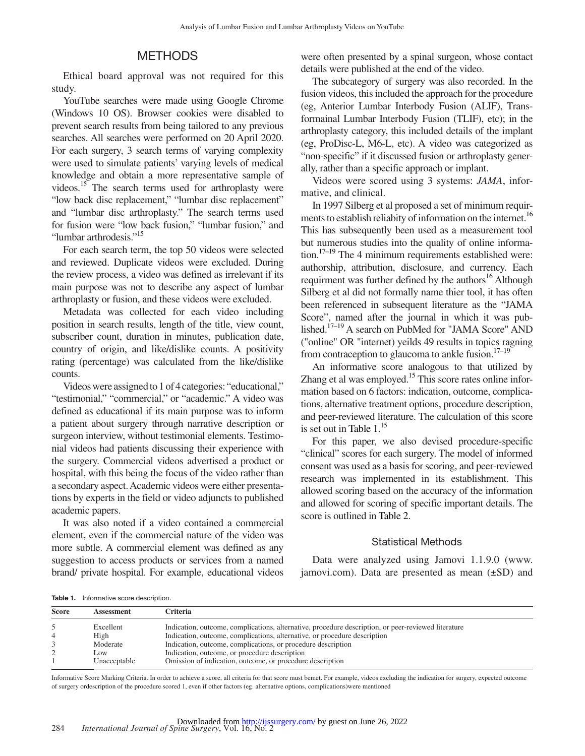## METHODS

Ethical board approval was not required for this study.

YouTube searches were made using Google Chrome (Windows 10 OS). Browser cookies were disabled to prevent search results from being tailored to any previous searches. All searches were performed on 20 April 2020. For each surgery, 3 search terms of varying complexity were used to simulate patients' varying levels of medical knowledge and obtain a more representative sample of videos.<sup>15</sup> The search terms used for arthroplasty were "low back disc replacement," "lumbar disc replacement" and "lumbar disc arthroplasty." The search terms used for fusion were "low back fusion," "lumbar fusion," and "lumbar arthrodesis.["15](#page-7-8)

For each search term, the top 50 videos were selected and reviewed. Duplicate videos were excluded. During the review process, a video was defined as irrelevant if its main purpose was not to describe any aspect of lumbar arthroplasty or fusion, and these videos were excluded.

Metadata was collected for each video including position in search results, length of the title, view count, subscriber count, duration in minutes, publication date, country of origin, and like/dislike counts. A positivity rating (percentage) was calculated from the like/dislike counts.

Videos were assigned to 1 of 4 categories: "educational," "testimonial," "commercial," or "academic." A video was defined as educational if its main purpose was to inform a patient about surgery through narrative description or surgeon interview, without testimonial elements. Testimonial videos had patients discussing their experience with the surgery. Commercial videos advertised a product or hospital, with this being the focus of the video rather than a secondary aspect. Academic videos were either presentations by experts in the field or video adjuncts to published academic papers.

It was also noted if a video contained a commercial element, even if the commercial nature of the video was more subtle. A commercial element was defined as any suggestion to access products or services from a named brand/ private hospital. For example, educational videos were often presented by a spinal surgeon, whose contact details were published at the end of the video.

The subcategory of surgery was also recorded. In the fusion videos, this included the approach for the procedure (eg, Anterior Lumbar Interbody Fusion (ALIF), Transformainal Lumbar Interbody Fusion (TLIF), etc); in the arthroplasty category, this included details of the implant (eg, ProDisc-L, M6-L, etc). A video was categorized as "non-specific" if it discussed fusion or arthroplasty generally, rather than a specific approach or implant.

Videos were scored using 3 systems: *JAMA*, informative, and clinical.

In 1997 Silberg et al proposed a set of minimum requirments to establish reliabity of information on the internet.<sup>16</sup> This has subsequently been used as a measurement tool but numerous studies into the quality of online information. $17-19$  The 4 minimum requirements established were: authorship, attribution, disclosure, and currency. Each requirment was further defined by the authors<sup>16</sup> Although Silberg et al did not formally name thier tool, it has often been referenced in subsequent literature as the "JAMA Score", named after the journal in which it was published.[17–19](#page-7-10) A search on PubMed for "JAMA Score" AND ("online" OR "internet) yeilds 49 results in topics ragning from contraception to glaucoma to ankle fusion. $17-19$ 

An informative score analogous to that utilized by Zhang et al was employed.<sup>15</sup> This score rates online information based on 6 factors: indication, outcome, complications, alternative treatment options, procedure description, and peer-reviewed literature. The calculation of this score is set out in [Table](#page-2-0) 1.<sup>[15](#page-7-8)</sup>

For this paper, we also devised procedure-specific "clinical" scores for each surgery. The model of informed consent was used as a basis for scoring, and peer-reviewed research was implemented in its establishment. This allowed scoring based on the accuracy of the information and allowed for scoring of specific important details. The score is outlined in [Table](#page-3-0) 2.

#### Statistical Methods

Data were analyzed using Jamovi 1.1.9.0 [\(www.](www.jamovi.com) [jamovi.com](www.jamovi.com)). Data are presented as mean (±SD) and

<span id="page-2-0"></span>Table 1. Informative score description.

| <b>Score</b> | Assessment   | Criteria                                                                                            |  |  |
|--------------|--------------|-----------------------------------------------------------------------------------------------------|--|--|
|              | Excellent    | Indication, outcome, complications, alternative, procedure description, or peer-reviewed literature |  |  |
| 4            | High         | Indication, outcome, complications, alternative, or procedure description                           |  |  |
|              | Moderate     | Indication, outcome, complications, or procedure description                                        |  |  |
|              | LOW.         | Indication, outcome, or procedure description                                                       |  |  |
|              | Unacceptable | Omission of indication, outcome, or procedure description                                           |  |  |

Informative Score Marking Criteria. In order to achieve a score, all criteria for that score must bemet. For example, videos excluding the indication for surgery, expected outcome of surgery ordescription of the procedure scored 1, even if other factors (eg. alternative options, complications)were mentioned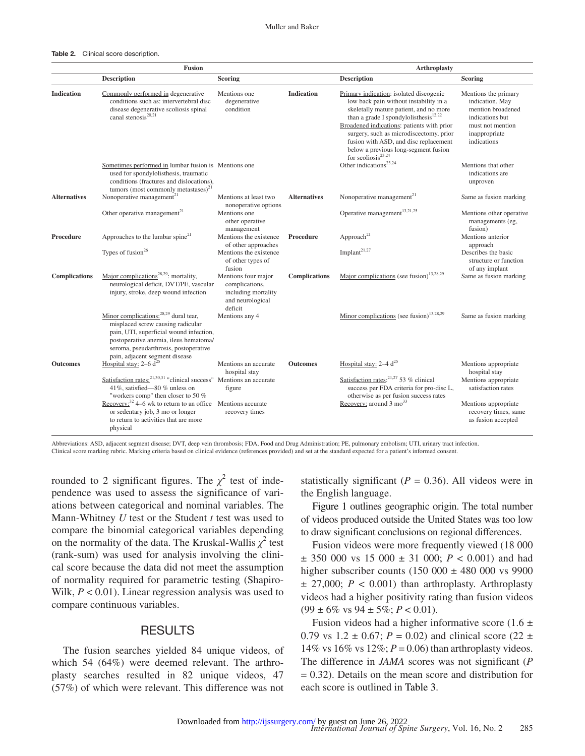#### <span id="page-3-0"></span>Table 2. Clinical score description.

|                      | <b>Fusion</b>                                                                                                                                                                                                                                         |                                                                                             |                      | <b>Arthroplasty</b>                                                                                                                                                                                                                                                                                                                                                                 |                                                                                                                                     |  |
|----------------------|-------------------------------------------------------------------------------------------------------------------------------------------------------------------------------------------------------------------------------------------------------|---------------------------------------------------------------------------------------------|----------------------|-------------------------------------------------------------------------------------------------------------------------------------------------------------------------------------------------------------------------------------------------------------------------------------------------------------------------------------------------------------------------------------|-------------------------------------------------------------------------------------------------------------------------------------|--|
|                      | <b>Description</b>                                                                                                                                                                                                                                    | Scoring                                                                                     |                      | <b>Description</b>                                                                                                                                                                                                                                                                                                                                                                  | <b>Scoring</b>                                                                                                                      |  |
| <b>Indication</b>    | Commonly performed in degenerative<br>conditions such as: intervertebral disc<br>disease degenerative scoliosis spinal<br>canal stenosis <sup>20,21</sup>                                                                                             | Mentions one<br>degenerative<br>condition                                                   | <b>Indication</b>    | Primary indication: isolated discogenic<br>low back pain without instability in a<br>skeletally mature patient, and no more<br>than a grade I spondylolisthesis <sup>12,22</sup><br>Broadened indications: patients with prior<br>surgery, such as microdiscectomy, prior<br>fusion with ASD, and disc replacement<br>below a previous long-segment fusion<br>for scoliosis $23,24$ | Mentions the primary<br>indication. May<br>mention broadened<br>indications but<br>must not mention<br>inappropriate<br>indications |  |
|                      | Sometimes performed in lumbar fusion is Mentions one<br>used for spondylolisthesis, traumatic<br>conditions (fractures and dislocations),<br>tumors (most commonly metastases) $^{21}$                                                                |                                                                                             |                      | Other indications <sup>23,24</sup>                                                                                                                                                                                                                                                                                                                                                  | Mentions that other<br>indications are<br>unproven                                                                                  |  |
| <b>Alternatives</b>  | Nonoperative management <sup>21</sup>                                                                                                                                                                                                                 | Mentions at least two<br>nonoperative options                                               | <b>Alternatives</b>  | Nonoperative management <sup>21</sup>                                                                                                                                                                                                                                                                                                                                               | Same as fusion marking                                                                                                              |  |
|                      | Other operative management <sup>21</sup>                                                                                                                                                                                                              | Mentions one<br>other operative<br>management                                               |                      | Operative management <sup>13,21,25</sup>                                                                                                                                                                                                                                                                                                                                            | Mentions other operative<br>managements (eg,<br>fusion)                                                                             |  |
| Procedure            | Approaches to the lumbar spine <sup>21</sup>                                                                                                                                                                                                          | Mentions the existence<br>of other approaches                                               | Procedure            | Approach <sup>21</sup>                                                                                                                                                                                                                                                                                                                                                              | Mentions anterior<br>approach                                                                                                       |  |
|                      | Types of fusion $26$                                                                                                                                                                                                                                  | Mentions the existence<br>of other types of<br>fusion                                       |                      | Implant <sup>21,27</sup>                                                                                                                                                                                                                                                                                                                                                            | Describes the basic<br>structure or function<br>of any implant                                                                      |  |
| <b>Complications</b> | Major complications <sup>28,29</sup> : mortality,<br>neurological deficit, DVT/PE, vascular<br>injury, stroke, deep wound infection                                                                                                                   | Mentions four major<br>complications,<br>including mortality<br>and neurological<br>deficit | <b>Complications</b> | Major complications (see fusion) $13,28,29$                                                                                                                                                                                                                                                                                                                                         | Same as fusion marking                                                                                                              |  |
|                      | Minor complications: <sup>28,29</sup> dural tear,<br>misplaced screw causing radicular<br>pain, UTI, superficial wound infection,<br>postoperative anemia, ileus hematoma/<br>seroma, pseudarthrosis, postoperative<br>pain, adjacent segment disease | Mentions any 4                                                                              |                      | Minor complications (see fusion) $13,28,29$                                                                                                                                                                                                                                                                                                                                         | Same as fusion marking                                                                                                              |  |
| <b>Outcomes</b>      | Hospital stay: $2-6$ $d^{25}$                                                                                                                                                                                                                         | Mentions an accurate<br>hospital stay                                                       | <b>Outcomes</b>      | Hospital stay: 2-4 d <sup>25</sup>                                                                                                                                                                                                                                                                                                                                                  | Mentions appropriate<br>hospital stay                                                                                               |  |
|                      | Satisfaction rates: <sup>21,30,31</sup> "clinical success" Mentions an accurate<br>41%, satisfied-80% unless on<br>"workers comp" then closer to 50 %                                                                                                 | figure                                                                                      |                      | Satisfaction rates: $21,27$ 53 % clinical<br>success per FDA criteria for pro-disc L,<br>otherwise as per fusion success rates                                                                                                                                                                                                                                                      | Mentions appropriate<br>satisfaction rates                                                                                          |  |
|                      | Recovery: $32$ 4–6 wk to return to an office Mentions accurate<br>or sedentary job, 3 mo or longer<br>to return to activities that are more<br>physical                                                                                               | recovery times                                                                              |                      | Recovery: around 3 mo <sup>33</sup>                                                                                                                                                                                                                                                                                                                                                 | Mentions appropriate<br>recovery times, same<br>as fusion accepted                                                                  |  |

Abbreviations: ASD, adjacent segment disease; DVT, deep vein thrombosis; FDA, Food and Drug Administration; PE, pulmonary embolism; UTI, urinary tract infection. Clinical score marking rubric. Marking criteria based on clinical evidence (references provided) and set at the standard expected for a patient's informed consent.

rounded to 2 significant figures. The  $\chi^2$  test of independence was used to assess the significance of variations between categorical and nominal variables. The Mann-Whitney *U* test or the Student *t* test was used to compare the binomial categorical variables depending on the normality of the data. The Kruskal-Wallis  $\chi^2$  test (rank-sum) was used for analysis involving the clinical score because the data did not meet the assumption of normality required for parametric testing (Shapiro-Wilk,  $P < 0.01$ ). Linear regression analysis was used to compare continuous variables.

## RESULTS

The fusion searches yielded 84 unique videos, of which 54 (64%) were deemed relevant. The arthroplasty searches resulted in 82 unique videos, 47 (57%) of which were relevant. This difference was not statistically significant ( $P = 0.36$ ). All videos were in the English language.

[Figure](#page-4-0) 1 outlines geographic origin. The total number of videos produced outside the United States was too low to draw significant conclusions on regional differences.

Fusion videos were more frequently viewed (18 000  $\pm$  350 000 vs 15 000  $\pm$  31 000; *P* < 0.001) and had higher subscriber counts (150 000  $\pm$  480 000 vs 9900  $\pm$  27,000;  $P < 0.001$ ) than arthroplasty. Arthroplasty videos had a higher positivity rating than fusion videos  $(99 \pm 6\% \text{ vs } 94 \pm 5\%; P < 0.01).$ 

Fusion videos had a higher informative score  $(1.6 \pm 1.6)$ 0.79 vs  $1.2 \pm 0.67$ ;  $P = 0.02$ ) and clinical score (22  $\pm$ 14% vs 16% vs 12%;  $P = 0.06$ ) than arthroplasty videos. The difference in *JAMA* scores was not significant (*P* = 0.32). Details on the mean score and distribution for each score is outlined in [Table](#page-4-1) 3.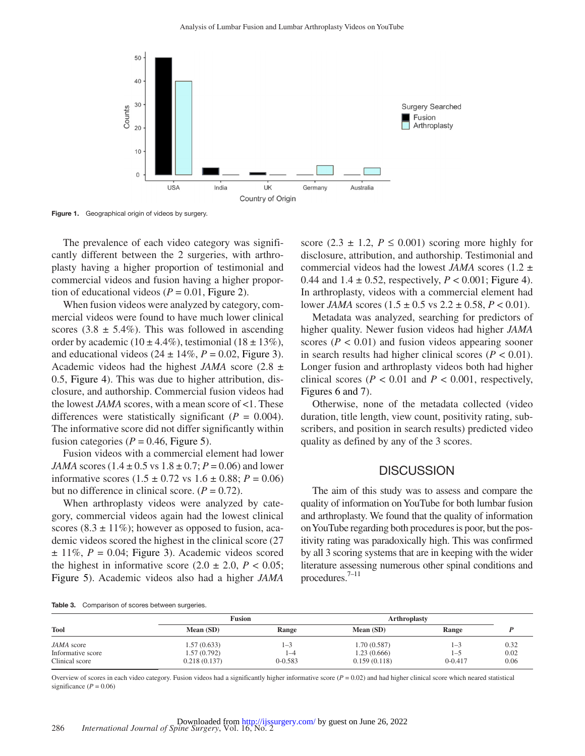

Figure 1. Geographical origin of videos by surgery.

The prevalence of each video category was significantly different between the 2 surgeries, with arthroplasty having a higher proportion of testimonial and commercial videos and fusion having a higher proportion of educational videos ( $P = 0.01$ , [Figure](#page-5-0) 2).

When fusion videos were analyzed by category, commercial videos were found to have much lower clinical scores  $(3.8 \pm 5.4\%)$ . This was followed in ascending order by academic (10  $\pm$  4.4%), testimonial (18  $\pm$  13%), and educational videos  $(24 \pm 14\%, P = 0.02, \text{Figure 3}).$  $(24 \pm 14\%, P = 0.02, \text{Figure 3}).$  $(24 \pm 14\%, P = 0.02, \text{Figure 3}).$ Academic videos had the highest *JAMA* score  $(2.8 \pm$ 0.5, [Figure](#page-5-2) 4). This was due to higher attribution, disclosure, and authorship. Commercial fusion videos had the lowest *JAMA* scores, with a mean score of <1. These differences were statistically significant  $(P = 0.004)$ . The informative score did not differ significantly within fusion categories ( $P = 0.46$ , [Figure](#page-6-0) 5).

Fusion videos with a commercial element had lower *JAMA* scores  $(1.4 \pm 0.5 \text{ vs } 1.8 \pm 0.7; P = 0.06)$  and lower informative scores  $(1.5 \pm 0.72 \text{ vs } 1.6 \pm 0.88; P = 0.06)$ but no difference in clinical score.  $(P = 0.72)$ .

When arthroplasty videos were analyzed by category, commercial videos again had the lowest clinical scores  $(8.3 \pm 11\%)$ ; however as opposed to fusion, academic videos scored the highest in the clinical score (27  $\pm$  11%,  $P = 0.04$ ; [Figure](#page-5-1) 3). Academic videos scored the highest in informative score  $(2.0 \pm 2.0, P < 0.05)$ ; [Figure](#page-6-0) 5). Academic videos also had a higher *JAMA* <span id="page-4-0"></span>score  $(2.3 \pm 1.2, P \le 0.001)$  scoring more highly for disclosure, attribution, and authorship. Testimonial and commercial videos had the lowest *JAMA* scores (1.2  $\pm$ 0.44 and  $1.4 \pm 0.52$ , respectively,  $P < 0.001$ ; [Figure](#page-5-2) 4). In arthroplasty, videos with a commercial element had lower *JAMA* scores  $(1.5 \pm 0.5 \text{ vs } 2.2 \pm 0.58, P < 0.01)$ .

Metadata was analyzed, searching for predictors of higher quality. Newer fusion videos had higher *JAMA* scores ( $P < 0.01$ ) and fusion videos appearing sooner in search results had higher clinical scores  $(P < 0.01)$ . Longer fusion and arthroplasty videos both had higher clinical scores ( $P < 0.01$  and  $P < 0.001$ , respectively, [Figures](#page-6-1) 6 and 7).

Otherwise, none of the metadata collected (video duration, title length, view count, positivity rating, subscribers, and position in search results) predicted video quality as defined by any of the 3 scores.

## **DISCUSSION**

The aim of this study was to assess and compare the quality of information on YouTube for both lumbar fusion and arthroplasty. We found that the quality of information on YouTube regarding both procedures is poor, but the positivity rating was paradoxically high. This was confirmed by all 3 scoring systems that are in keeping with the wider literature assessing numerous other spinal conditions and procedures.[7–11](#page-7-5)

<span id="page-4-1"></span>

| Table 3. | Comparison of scores between surgeries. |  |  |  |
|----------|-----------------------------------------|--|--|--|
|----------|-----------------------------------------|--|--|--|

|                                     | <b>Fusion</b>                |                    | <b>Arthroplasty</b>         |                        |              |
|-------------------------------------|------------------------------|--------------------|-----------------------------|------------------------|--------------|
| Tool                                | Mean (SD)                    | Range              | Mean (SD)                   | Range                  |              |
| JAMA score                          | 1.57 (0.633)                 | 1-9                | 1.70(0.587)                 | $1 - 3$                | 0.32         |
| Informative score<br>Clinical score | 1.57 (0.792)<br>0.218(0.137) | 1-4<br>$0 - 0.583$ | 1.23(0.666)<br>0.159(0.118) | $1 - 5$<br>$0 - 0.417$ | 0.02<br>0.06 |

Overview of scores in each video category. Fusion videos had a significantly higher informative score  $(P = 0.02)$  and had higher clinical score which neared statistical significance  $(P = 0.06)$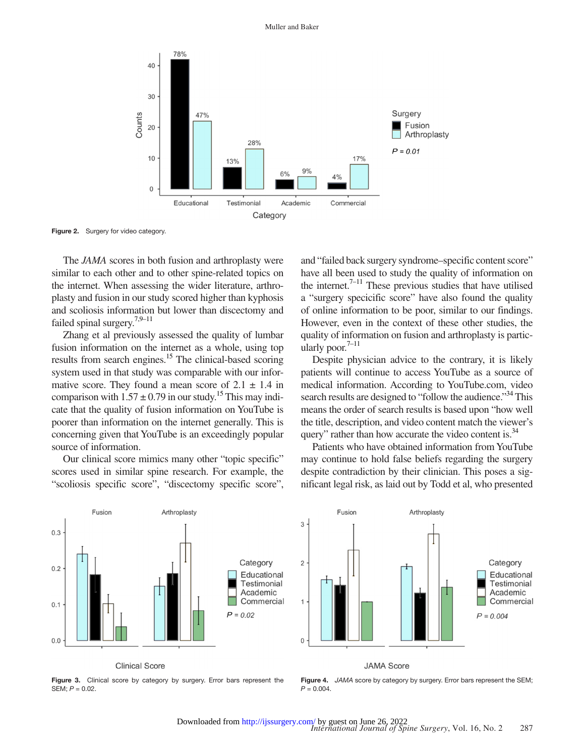

Figure 2. Surgery for video category.

The *JAMA* scores in both fusion and arthroplasty were similar to each other and to other spine-related topics on the internet. When assessing the wider literature, arthroplasty and fusion in our study scored higher than kyphosis and scoliosis information but lower than discectomy and failed spinal surgery[.7,9–11](#page-7-5)

Zhang et al previously assessed the quality of lumbar fusion information on the internet as a whole, using top results from search engines[.15](#page-7-8) The clinical-based scoring system used in that study was comparable with our informative score. They found a mean score of  $2.1 \pm 1.4$  in comparison with  $1.57 \pm 0.79$  in our study.<sup>15</sup> This may indicate that the quality of fusion information on YouTube is poorer than information on the internet generally. This is concerning given that YouTube is an exceedingly popular source of information.

Our clinical score mimics many other "topic specific" scores used in similar spine research. For example, the "scoliosis specific score", "discectomy specific score", <span id="page-5-0"></span>and "failed back surgery syndrome–specific content score" have all been used to study the quality of information on the internet.<sup> $7-11$ </sup> These previous studies that have utilised a "surgery specicific score" have also found the quality of online information to be poor, similar to our findings. However, even in the context of these other studies, the quality of information on fusion and arthroplasty is particularly poor. $7-11$ 

Despite physician advice to the contrary, it is likely patients will continue to access YouTube as a source of medical information. According to YouTube.com, video search results are designed to "follow the audience."<sup>34</sup> This means the order of search results is based upon "how well the title, description, and video content match the viewer's query" rather than how accurate the video content is.<sup>34</sup>

Patients who have obtained information from YouTube may continue to hold false beliefs regarding the surgery despite contradiction by their clinician. This poses a significant legal risk, as laid out by Todd et al, who presented



**Clinical Score** 

<span id="page-5-1"></span>Figure 3. Clinical score by category by surgery. Error bars represent the SEM; *P* = 0.02.



<span id="page-5-2"></span>Figure 4. JAMA score by category by surgery. Error bars represent the SEM;  $P = 0.004$ .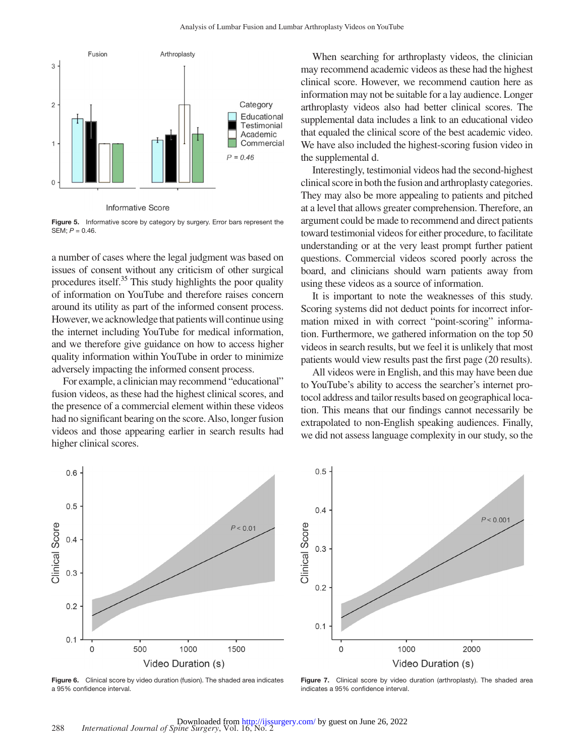

<span id="page-6-0"></span>Figure 5. Informative score by category by surgery. Error bars represent the SEM; *P* = 0.46.

a number of cases where the legal judgment was based on issues of consent without any criticism of other surgical procedures itself.<sup>35</sup> This study highlights the poor quality of information on YouTube and therefore raises concern around its utility as part of the informed consent process. However, we acknowledge that patients will continue using the internet including YouTube for medical information, and we therefore give guidance on how to access higher quality information within YouTube in order to minimize adversely impacting the informed consent process.

For example, a clinician may recommend "educational" fusion videos, as these had the highest clinical scores, and the presence of a commercial element within these videos had no significant bearing on the score. Also, longer fusion videos and those appearing earlier in search results had higher clinical scores.

When searching for arthroplasty videos, the clinician may recommend academic videos as these had the highest clinical score. However, we recommend caution here as information may not be suitable for a lay audience. Longer arthroplasty videos also had better clinical scores. The supplemental data includes a link to an educational video that equaled the clinical score of the best academic video. We have also included the highest-scoring fusion video in the supplemental d.

Interestingly, testimonial videos had the second-highest clinical score in both the fusion and arthroplasty categories. They may also be more appealing to patients and pitched at a level that allows greater comprehension. Therefore, an argument could be made to recommend and direct patients toward testimonial videos for either procedure, to facilitate understanding or at the very least prompt further patient questions. Commercial videos scored poorly across the board, and clinicians should warn patients away from using these videos as a source of information.

It is important to note the weaknesses of this study. Scoring systems did not deduct points for incorrect information mixed in with correct "point-scoring" information. Furthermore, we gathered information on the top 50 videos in search results, but we feel it is unlikely that most patients would view results past the first page (20 results).

All videos were in English, and this may have been due to YouTube's ability to access the searcher's internet protocol address and tailor results based on geographical location. This means that our findings cannot necessarily be extrapolated to non-English speaking audiences. Finally, we did not assess language complexity in our study, so the



<span id="page-6-1"></span>Figure 6. Clinical score by video duration (fusion). The shaded area indicates a 95% confidence interval.



Figure 7. Clinical score by video duration (arthroplasty). The shaded area indicates a 95% confidence interval.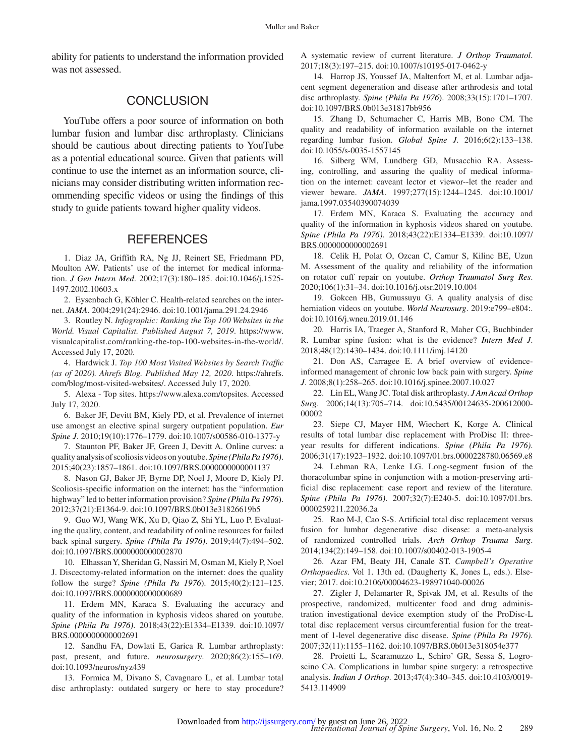ability for patients to understand the information provided was not assessed.

## **CONCLUSION**

YouTube offers a poor source of information on both lumbar fusion and lumbar disc arthroplasty. Clinicians should be cautious about directing patients to YouTube as a potential educational source. Given that patients will continue to use the internet as an information source, clinicians may consider distributing written information recommending specific videos or using the findings of this study to guide patients toward higher quality videos.

## **REFERENCES**

<span id="page-7-0"></span>1. Diaz JA, Griffith RA, Ng JJ, Reinert SE, Friedmann PD, Moulton AW. Patients' use of the internet for medical information. *J Gen Intern Med*. 2002;17(3):180–185. doi:10.1046/j.1525- 1497.2002.10603.x

<span id="page-7-1"></span>2. Eysenbach G, Köhler C. Health-related searches on the internet. *JAMA*. 2004;291(24):2946. doi:10.1001/jama.291.24.2946

<span id="page-7-2"></span>3. Routley N. *Infographic: Ranking the Top 100 Websites in the World. Visual Capitalist. Published August 7, 2019*. [https://www.](https://www.visualcapitalist.com/ranking-the-top-100-websites-in-the-world/) [visualcapitalist.com/ranking-the-top-100-websites-in-the-world/.](https://www.visualcapitalist.com/ranking-the-top-100-websites-in-the-world/) Accessed July 17, 2020.

<span id="page-7-3"></span>4. Hardwick J. *Top 100 Most Visited Websites by Search Traffic (as of 2020). Ahrefs Blog. Published May 12, 2020*. [https://ahrefs.](https://ahrefs.com/blog/most-visited-websites/) [com/blog/most-visited-websites/.](https://ahrefs.com/blog/most-visited-websites/) Accessed July 17, 2020.

5. Alexa - Top sites. [https://www.alexa.com/topsites.](https://www.alexa.com/topsites) Accessed July 17, 2020.

<span id="page-7-4"></span>6. Baker JF, Devitt BM, Kiely PD, et al. Prevalence of internet use amongst an elective spinal surgery outpatient population. *Eur Spine J*. 2010;19(10):1776–1779. doi:10.1007/s00586-010-1377-y

<span id="page-7-5"></span>7. Staunton PF, Baker JF, Green J, Devitt A. Online curves: a quality analysis of scoliosis videos on youtube. *Spine (Phila Pa 1976)*. 2015;40(23):1857–1861. doi:10.1097/BRS.0000000000001137

8. Nason GJ, Baker JF, Byrne DP, Noel J, Moore D, Kiely PJ. Scoliosis-specific information on the internet: has the "information highway" led to better information provision? *Spine (Phila Pa 1976*). 2012;37(21):E1364-9. doi:10.1097/BRS.0b013e31826619b5

9. Guo WJ, Wang WK, Xu D, Qiao Z, Shi YL, Luo P. Evaluating the quality, content, and readability of online resources for failed back spinal surgery. *Spine (Phila Pa 1976)*. 2019;44(7):494–502. doi:10.1097/BRS.0000000000002870

10. Elhassan Y, Sheridan G, Nassiri M, Osman M, Kiely P, Noel J. Discectomy-related information on the internet: does the quality follow the surge? *Spine (Phila Pa 1976*). 2015;40(2):121–125. doi:10.1097/BRS.0000000000000689

11. Erdem MN, Karaca S. Evaluating the accuracy and quality of the information in kyphosis videos shared on youtube. *Spine (Phila Pa 1976)*. 2018;43(22):E1334–E1339. doi:10.1097/ BRS.0000000000002691

<span id="page-7-6"></span>12. Sandhu FA, Dowlati E, Garica R. Lumbar arthroplasty: past, present, and future. *neurosurgery*. 2020;86(2):155–169. doi:10.1093/neuros/nyz439

<span id="page-7-7"></span>13. Formica M, Divano S, Cavagnaro L, et al. Lumbar total disc arthroplasty: outdated surgery or here to stay procedure? A systematic review of current literature. *J Orthop Traumatol*. 2017;18(3):197–215. doi:10.1007/s10195-017-0462-y

14. Harrop JS, Youssef JA, Maltenfort M, et al. Lumbar adjacent segment degeneration and disease after arthrodesis and total disc arthroplasty. *Spine (Phila Pa 1976*). 2008;33(15):1701–1707. doi:10.1097/BRS.0b013e31817bb956

<span id="page-7-8"></span>15. Zhang D, Schumacher C, Harris MB, Bono CM. The quality and readability of information available on the internet regarding lumbar fusion. *Global Spine J*. 2016;6(2):133–138. doi:10.1055/s-0035-1557145

<span id="page-7-9"></span>16. Silberg WM, Lundberg GD, Musacchio RA. Assessing, controlling, and assuring the quality of medical information on the internet: caveant lector et viewor--let the reader and viewer beware. *JAMA*. 1997;277(15):1244–1245. doi:10.1001/ jama.1997.03540390074039

<span id="page-7-10"></span>17. Erdem MN, Karaca S. Evaluating the accuracy and quality of the information in kyphosis videos shared on youtube. *Spine (Phila Pa 1976)*. 2018;43(22):E1334–E1339. doi:10.1097/ BRS.0000000000002691

18. Celik H, Polat O, Ozcan C, Camur S, Kilinc BE, Uzun M. Assessment of the quality and reliability of the information on rotator cuff repair on youtube. *Orthop Traumatol Surg Res*. 2020;106(1):31–34. doi:10.1016/j.otsr.2019.10.004

19. Gokcen HB, Gumussuyu G. A quality analysis of disc herniation videos on youtube. *World Neurosurg*. 2019:e799–e804:. doi:10.1016/j.wneu.2019.01.146

<span id="page-7-11"></span>20. Harris IA, Traeger A, Stanford R, Maher CG, Buchbinder R. Lumbar spine fusion: what is the evidence? *Intern Med J*. 2018;48(12):1430–1434. doi:10.1111/imj.14120

<span id="page-7-13"></span>21. Don AS, Carragee E. A brief overview of evidenceinformed management of chronic low back pain with surgery. *Spine J*. 2008;8(1):258–265. doi:10.1016/j.spinee.2007.10.027

22. Lin EL, Wang JC. Total disk arthroplasty. *J Am Acad Orthop Surg*. 2006;14(13):705–714. doi:10.5435/00124635-200612000- 00002

<span id="page-7-12"></span>23. Siepe CJ, Mayer HM, Wiechert K, Korge A. Clinical results of total lumbar disc replacement with ProDisc II: threeyear results for different indications. *Spine (Phila Pa 1976)*. 2006;31(17):1923–1932. doi:10.1097/01.brs.0000228780.06569.e8

24. Lehman RA, Lenke LG. Long-segment fusion of the thoracolumbar spine in conjunction with a motion-preserving artificial disc replacement: case report and review of the literature. *Spine (Phila Pa 1976)*. 2007;32(7):E240-5. doi:10.1097/01.brs. 0000259211.22036.2a

<span id="page-7-16"></span>25. Rao M-J, Cao S-S. Artificial total disc replacement versus fusion for lumbar degenerative disc disease: a meta-analysis of randomized controlled trials. *Arch Orthop Trauma Surg*. 2014;134(2):149–158. doi:10.1007/s00402-013-1905-4

<span id="page-7-14"></span>26. Azar FM, Beaty JH, Canale ST. *Campbell's Operative Orthopaedics*. Vol 1. 13th ed. (Daugherty K, Jones L, eds.). Elsevier; 2017. doi:10.2106/00004623-198971040-00026

27. Zigler J, Delamarter R, Spivak JM, et al. Results of the prospective, randomized, multicenter food and drug administration investigational device exemption study of the ProDisc-L total disc replacement versus circumferential fusion for the treatment of 1-level degenerative disc disease. *Spine (Phila Pa 1976)*. 2007;32(11):1155–1162. doi:10.1097/BRS.0b013e318054e377

<span id="page-7-15"></span>28. Proietti L, Scaramuzzo L, Schiro' GR, Sessa S, Logroscino CA. Complications in lumbar spine surgery: a retrospective analysis. *Indian J Orthop*. 2013;47(4):340–345. doi:10.4103/0019- 5413.114909